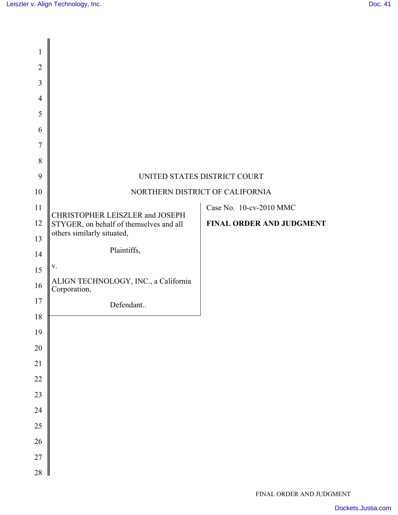| 1              |                                                                            |                          |
|----------------|----------------------------------------------------------------------------|--------------------------|
| $\mathbf{2}$   |                                                                            |                          |
| 3              |                                                                            |                          |
| $\overline{4}$ |                                                                            |                          |
| 5              |                                                                            |                          |
| 6              |                                                                            |                          |
| 7              |                                                                            |                          |
| 8              |                                                                            |                          |
| 9              | UNITED STATES DISTRICT COURT                                               |                          |
| 10             | NORTHERN DISTRICT OF CALIFORNIA                                            |                          |
| 11             | CHRISTOPHER LEISZLER and JOSEPH<br>STYGER, on behalf of themselves and all | Case No. 10-cv-2010 MMC  |
| 12             |                                                                            | FINAL ORDER AND JUDGMENT |
| 13             | others similarly situated,                                                 |                          |
| 14             | Plaintiffs,                                                                |                          |
| 15             | ${\bf V}$ .                                                                |                          |
| 16             | ALIGN TECHNOLOGY, INC., a California<br>Corporation,                       |                          |
| 17             | Defendant                                                                  |                          |
| 18             |                                                                            |                          |
| 19             |                                                                            |                          |
| 20             |                                                                            |                          |
| $21\,$         |                                                                            |                          |
| $22\,$         |                                                                            |                          |
| 23             |                                                                            |                          |
| 24             |                                                                            |                          |
| 25             |                                                                            |                          |
| 26             |                                                                            |                          |
| 27             |                                                                            |                          |
| 28             | Ш                                                                          |                          |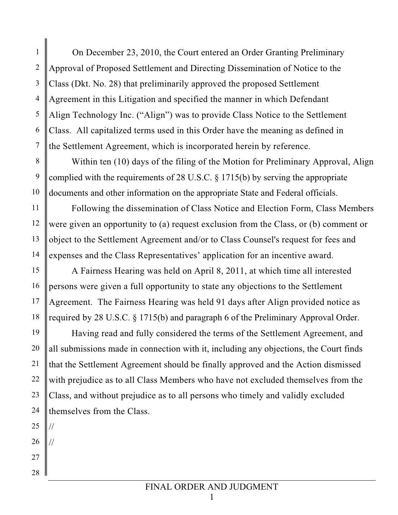On December 23, 2010, the Court entered an Order Granting Preliminary Approval of Proposed Settlement and Directing Dissemination of Notice to the Class (Dkt. No. 28) that preliminarily approved the proposed Settlement Agreement in this Litigation and specified the manner in which Defendant Align Technology Inc. ("Align") was to provide Class Notice to the Settlement Class. All capitalized terms used in this Order have the meaning as defined in the Settlement Agreement, which is incorporated herein by reference.

8 9 10 Within ten (10) days of the filing of the Motion for Preliminary Approval, Align complied with the requirements of 28 U.S.C. § 1715(b) by serving the appropriate documents and other information on the appropriate State and Federal officials.

 Following the dissemination of Class Notice and Election Form, Class Members were given an opportunity to (a) request exclusion from the Class, or (b) comment or object to the Settlement Agreement and/or to Class Counsel's request for fees and expenses and the Class Representatives' application for an incentive award.

 A Fairness Hearing was held on April 8, 2011, at which time all interested persons were given a full opportunity to state any objections to the Settlement Agreement. The Fairness Hearing was held 91 days after Align provided notice as required by 28 U.S.C. § 1715(b) and paragraph 6 of the Preliminary Approval Order.

19 20 21 22 23 24 Having read and fully considered the terms of the Settlement Agreement, and all submissions made in connection with it, including any objections, the Court finds that the Settlement Agreement should be finally approved and the Action dismissed with prejudice as to all Class Members who have not excluded themselves from the Class, and without prejudice as to all persons who timely and validly excluded themselves from the Class.

25 //

1

2

3

4

5

6

7

11

12

13

14

15

16

17

18

26 //

27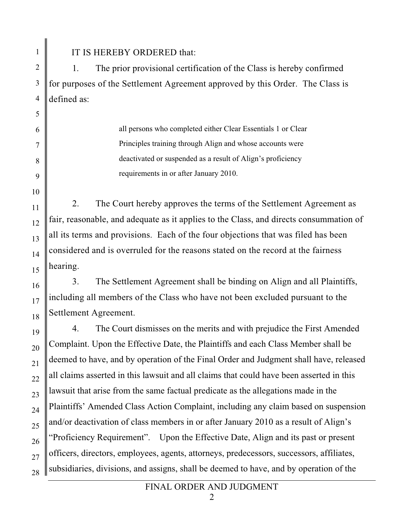1  $\mathfrak{D}$ 3

4

5

6

7

8

9

10

11

12

13

14

15

16

17

18

19

20

21

22

23

24

25

26

27

28

IT IS HEREBY ORDERED that:

1. The prior provisional certification of the Class is hereby confirmed for purposes of the Settlement Agreement approved by this Order. The Class is defined as:

> all persons who completed either Clear Essentials 1 or Clear Principles training through Align and whose accounts were deactivated or suspended as a result of Align's proficiency requirements in or after January 2010.

2. The Court hereby approves the terms of the Settlement Agreement as fair, reasonable, and adequate as it applies to the Class, and directs consummation of all its terms and provisions. Each of the four objections that was filed has been considered and is overruled for the reasons stated on the record at the fairness hearing.

3. The Settlement Agreement shall be binding on Align and all Plaintiffs, including all members of the Class who have not been excluded pursuant to the Settlement Agreement.

4. The Court dismisses on the merits and with prejudice the First Amended Complaint. Upon the Effective Date, the Plaintiffs and each Class Member shall be deemed to have, and by operation of the Final Order and Judgment shall have, released all claims asserted in this lawsuit and all claims that could have been asserted in this lawsuit that arise from the same factual predicate as the allegations made in the Plaintiffs' Amended Class Action Complaint, including any claim based on suspension and/or deactivation of class members in or after January 2010 as a result of Align's "Proficiency Requirement". Upon the Effective Date, Align and its past or present officers, directors, employees, agents, attorneys, predecessors, successors, affiliates, subsidiaries, divisions, and assigns, shall be deemed to have, and by operation of the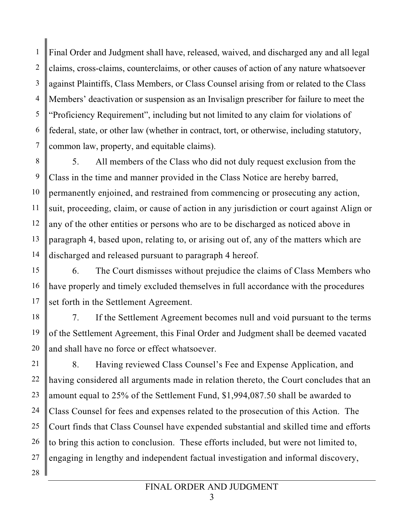1 2 3 4 5 6 7 Final Order and Judgment shall have, released, waived, and discharged any and all legal claims, cross-claims, counterclaims, or other causes of action of any nature whatsoever against Plaintiffs, Class Members, or Class Counsel arising from or related to the Class Members' deactivation or suspension as an Invisalign prescriber for failure to meet the "Proficiency Requirement", including but not limited to any claim for violations of federal, state, or other law (whether in contract, tort, or otherwise, including statutory, common law, property, and equitable claims).

8 9 10 11 12 13 14 5. All members of the Class who did not duly request exclusion from the Class in the time and manner provided in the Class Notice are hereby barred, permanently enjoined, and restrained from commencing or prosecuting any action, suit, proceeding, claim, or cause of action in any jurisdiction or court against Align or any of the other entities or persons who are to be discharged as noticed above in paragraph 4, based upon, relating to, or arising out of, any of the matters which are discharged and released pursuant to paragraph 4 hereof.

15 16 17 6. The Court dismisses without prejudice the claims of Class Members who have properly and timely excluded themselves in full accordance with the procedures set forth in the Settlement Agreement.

18 19 20 7. If the Settlement Agreement becomes null and void pursuant to the terms of the Settlement Agreement, this Final Order and Judgment shall be deemed vacated and shall have no force or effect whatsoever.

21 22 23 24 25 26 27 28 8. Having reviewed Class Counsel's Fee and Expense Application, and having considered all arguments made in relation thereto, the Court concludes that an amount equal to 25% of the Settlement Fund, \$1,994,087.50 shall be awarded to Class Counsel for fees and expenses related to the prosecution of this Action. The Court finds that Class Counsel have expended substantial and skilled time and efforts to bring this action to conclusion. These efforts included, but were not limited to, engaging in lengthy and independent factual investigation and informal discovery,

## FINAL ORDER AND JUDGMENT

3